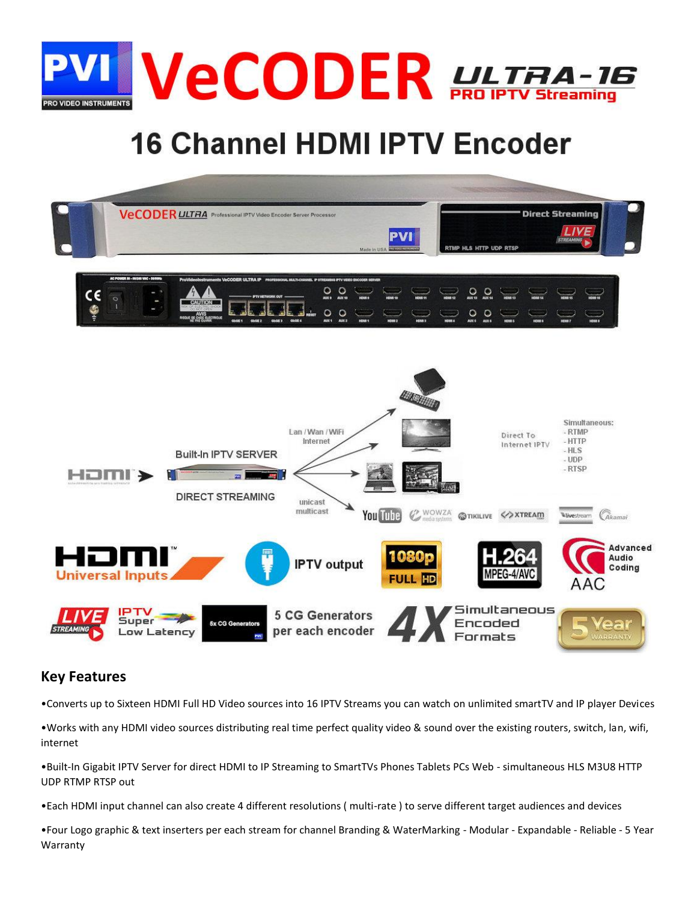

# **16 Channel HDMI IPTV Encoder**



#### **Key Features**

•Converts up to Sixteen HDMI Full HD Video sources into 16 IPTV Streams you can watch on unlimited smartTV and IP player Devices

•Works with any HDMI video sources distributing real time perfect quality video & sound over the existing routers, switch, lan, wifi, internet

•Built-In Gigabit IPTV Server for direct HDMI to IP Streaming to SmartTVs Phones Tablets PCs Web - simultaneous HLS M3U8 HTTP UDP RTMP RTSP out

•Each HDMI input channel can also create 4 different resolutions ( multi-rate ) to serve different target audiences and devices

•Four Logo graphic & text inserters per each stream for channel Branding & WaterMarking - Modular - Expandable - Reliable - 5 Year Warranty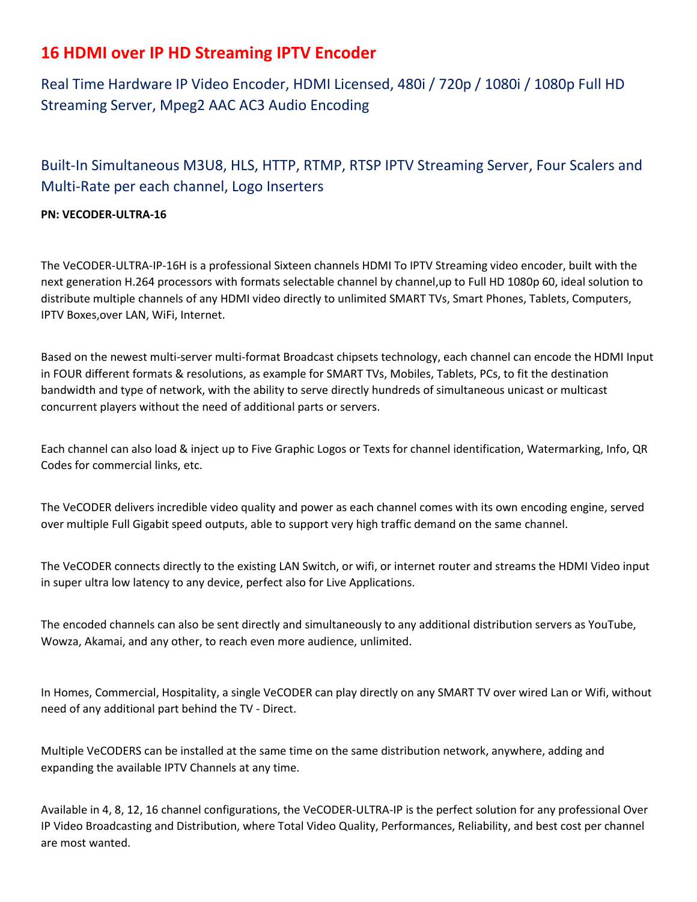### **16 HDMI over IP HD Streaming IPTV Encoder**

Real Time Hardware IP Video Encoder, HDMI Licensed, 480i / 720p / 1080i / 1080p Full HD Streaming Server, Mpeg2 AAC AC3 Audio Encoding

### Built-In Simultaneous M3U8, HLS, HTTP, RTMP, RTSP IPTV Streaming Server, Four Scalers and Multi-Rate per each channel, Logo Inserters

#### **PN: VECODER-ULTRA-16**

The VeCODER-ULTRA-IP-16H is a professional Sixteen channels HDMI To IPTV Streaming video encoder, built with the next generation H.264 processors with formats selectable channel by channel,up to Full HD 1080p 60, ideal solution to distribute multiple channels of any HDMI video directly to unlimited SMART TVs, Smart Phones, Tablets, Computers, IPTV Boxes,over LAN, WiFi, Internet.

Based on the newest multi-server multi-format Broadcast chipsets technology, each channel can encode the HDMI Input in FOUR different formats & resolutions, as example for SMART TVs, Mobiles, Tablets, PCs, to fit the destination bandwidth and type of network, with the ability to serve directly hundreds of simultaneous unicast or multicast concurrent players without the need of additional parts or servers.

Each channel can also load & inject up to Five Graphic Logos or Texts for channel identification, Watermarking, Info, QR Codes for commercial links, etc.

The VeCODER delivers incredible video quality and power as each channel comes with its own encoding engine, served over multiple Full Gigabit speed outputs, able to support very high traffic demand on the same channel.

The VeCODER connects directly to the existing LAN Switch, or wifi, or internet router and streams the HDMI Video input in super ultra low latency to any device, perfect also for Live Applications.

The encoded channels can also be sent directly and simultaneously to any additional distribution servers as YouTube, Wowza, Akamai, and any other, to reach even more audience, unlimited.

In Homes, Commercial, Hospitality, a single VeCODER can play directly on any SMART TV over wired Lan or Wifi, without need of any additional part behind the TV - Direct.

Multiple VeCODERS can be installed at the same time on the same distribution network, anywhere, adding and expanding the available IPTV Channels at any time.

Available in 4, 8, 12, 16 channel configurations, the VeCODER-ULTRA-IP is the perfect solution for any professional Over IP Video Broadcasting and Distribution, where Total Video Quality, Performances, Reliability, and best cost per channel are most wanted.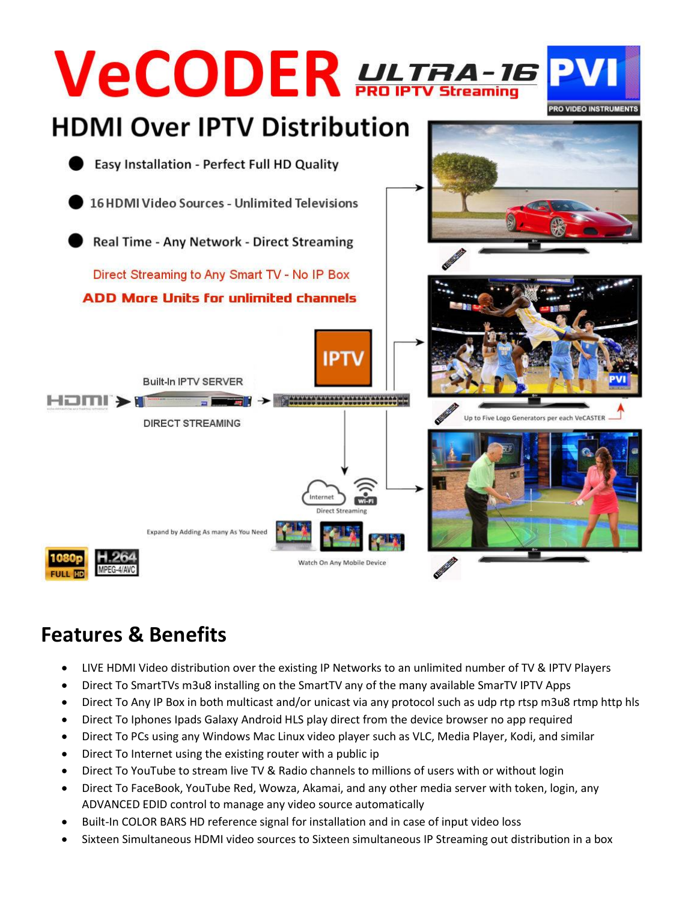

# **Features & Benefits**

- LIVE HDMI Video distribution over the existing IP Networks to an unlimited number of TV & IPTV Players
- Direct To SmartTVs m3u8 installing on the SmartTV any of the many available SmarTV IPTV Apps
- Direct To Any IP Box in both multicast and/or unicast via any protocol such as udp rtp rtsp m3u8 rtmp http hls
- Direct To Iphones Ipads Galaxy Android HLS play direct from the device browser no app required
- Direct To PCs using any Windows Mac Linux video player such as VLC, Media Player, Kodi, and similar
- Direct To Internet using the existing router with a public ip
- Direct To YouTube to stream live TV & Radio channels to millions of users with or without login
- Direct To FaceBook, YouTube Red, Wowza, Akamai, and any other media server with token, login, any ADVANCED EDID control to manage any video source automatically
- Built-In COLOR BARS HD reference signal for installation and in case of input video loss
- Sixteen Simultaneous HDMI video sources to Sixteen simultaneous IP Streaming out distribution in a box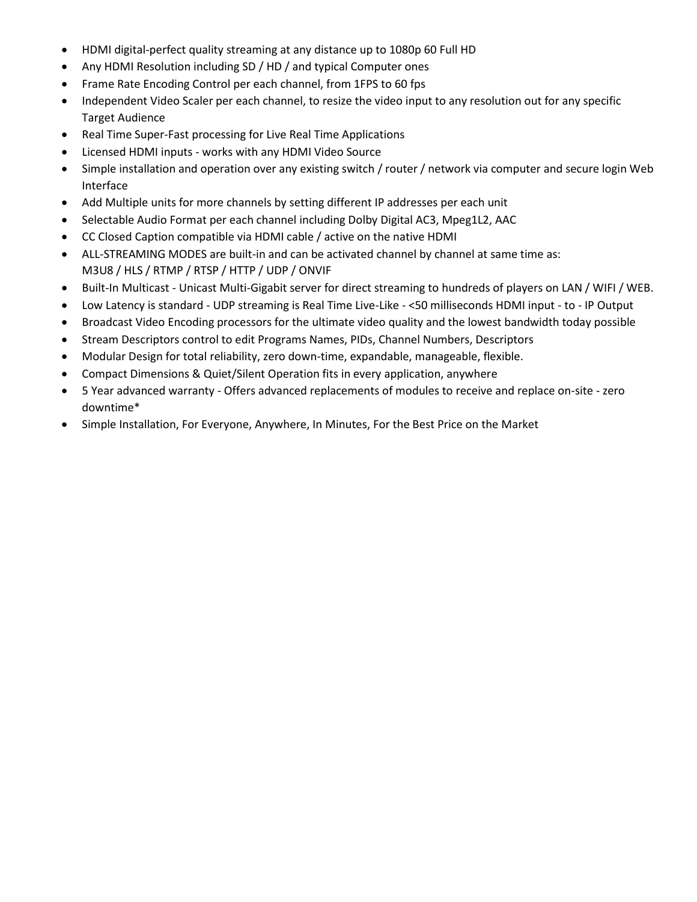- HDMI digital-perfect quality streaming at any distance up to 1080p 60 Full HD
- Any HDMI Resolution including SD / HD / and typical Computer ones
- Frame Rate Encoding Control per each channel, from 1FPS to 60 fps
- Independent Video Scaler per each channel, to resize the video input to any resolution out for any specific Target Audience
- Real Time Super-Fast processing for Live Real Time Applications
- Licensed HDMI inputs works with any HDMI Video Source
- Simple installation and operation over any existing switch / router / network via computer and secure login Web Interface
- Add Multiple units for more channels by setting different IP addresses per each unit
- Selectable Audio Format per each channel including Dolby Digital AC3, Mpeg1L2, AAC
- CC Closed Caption compatible via HDMI cable / active on the native HDMI
- ALL-STREAMING MODES are built-in and can be activated channel by channel at same time as: M3U8 / HLS / RTMP / RTSP / HTTP / UDP / ONVIF
- Built-In Multicast Unicast Multi-Gigabit server for direct streaming to hundreds of players on LAN / WIFI / WEB.
- Low Latency is standard UDP streaming is Real Time Live-Like <50 milliseconds HDMI input to IP Output
- Broadcast Video Encoding processors for the ultimate video quality and the lowest bandwidth today possible
- Stream Descriptors control to edit Programs Names, PIDs, Channel Numbers, Descriptors
- Modular Design for total reliability, zero down-time, expandable, manageable, flexible.
- Compact Dimensions & Quiet/Silent Operation fits in every application, anywhere
- 5 Year advanced warranty Offers advanced replacements of modules to receive and replace on-site zero downtime\*
- Simple Installation, For Everyone, Anywhere, In Minutes, For the Best Price on the Market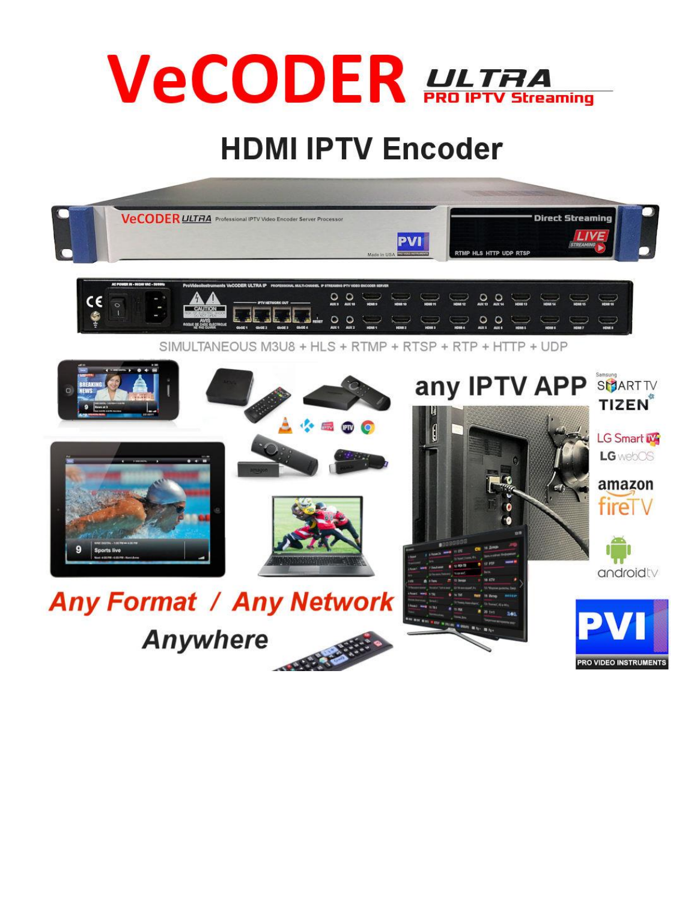

# **HDMI IPTV Encoder**

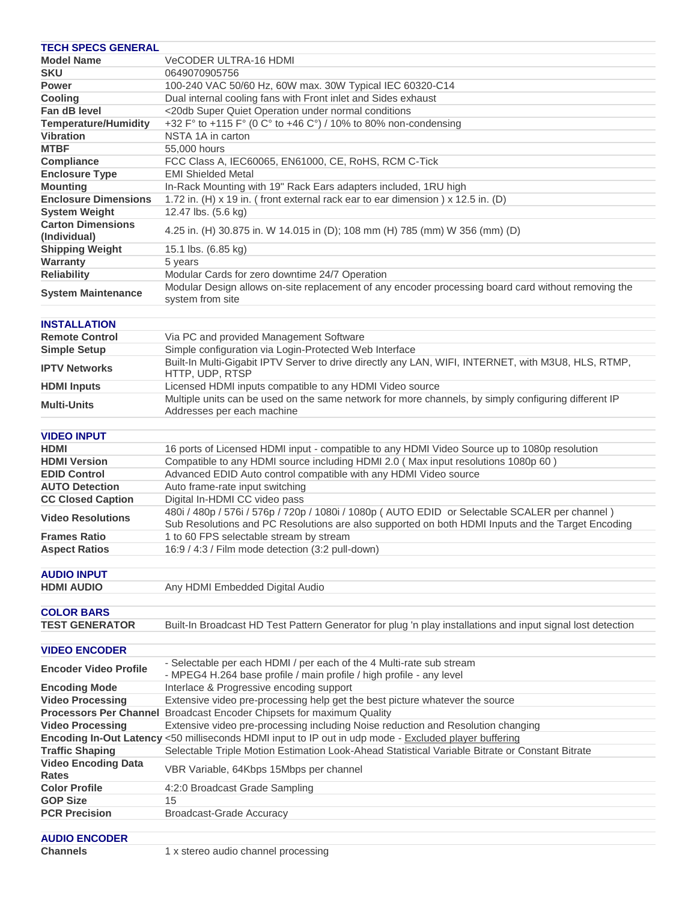| <b>TECH SPECS GENERAL</b>                  |                                                                                                             |
|--------------------------------------------|-------------------------------------------------------------------------------------------------------------|
| <b>Model Name</b>                          | <b>VeCODER ULTRA-16 HDMI</b>                                                                                |
| <b>SKU</b>                                 | 0649070905756                                                                                               |
| <b>Power</b>                               | 100-240 VAC 50/60 Hz, 60W max. 30W Typical IEC 60320-C14                                                    |
| <b>Cooling</b>                             | Dual internal cooling fans with Front inlet and Sides exhaust                                               |
| Fan dB level                               | <20db Super Quiet Operation under normal conditions                                                         |
| <b>Temperature/Humidity</b>                | +32 F° to +115 F° (0 C° to +46 C°) / 10% to 80% non-condensing                                              |
| <b>Vibration</b>                           | NSTA 1A in carton                                                                                           |
| <b>MTBF</b>                                | 55,000 hours                                                                                                |
| <b>Compliance</b>                          | FCC Class A, IEC60065, EN61000, CE, RoHS, RCM C-Tick                                                        |
| <b>Enclosure Type</b>                      | <b>EMI Shielded Metal</b>                                                                                   |
| <b>Mounting</b>                            | In-Rack Mounting with 19" Rack Ears adapters included, 1RU high                                             |
| <b>Enclosure Dimensions</b>                | 1.72 in. (H) x 19 in. (front external rack ear to ear dimension) x 12.5 in. (D)                             |
| <b>System Weight</b>                       | 12.47 lbs. (5.6 kg)                                                                                         |
| <b>Carton Dimensions</b>                   | 4.25 in. (H) 30.875 in. W 14.015 in (D); 108 mm (H) 785 (mm) W 356 (mm) (D)                                 |
| (Individual)                               |                                                                                                             |
| <b>Shipping Weight</b>                     | 15.1 lbs. (6.85 kg)                                                                                         |
| Warranty                                   | 5 years                                                                                                     |
| <b>Reliability</b>                         | Modular Cards for zero downtime 24/7 Operation                                                              |
| <b>System Maintenance</b>                  | Modular Design allows on-site replacement of any encoder processing board card without removing the         |
|                                            | system from site                                                                                            |
|                                            |                                                                                                             |
| <b>INSTALLATION</b>                        |                                                                                                             |
| <b>Remote Control</b>                      | Via PC and provided Management Software                                                                     |
| <b>Simple Setup</b>                        | Simple configuration via Login-Protected Web Interface                                                      |
| <b>IPTV Networks</b>                       | Built-In Multi-Gigabit IPTV Server to drive directly any LAN, WIFI, INTERNET, with M3U8, HLS, RTMP,         |
|                                            | HTTP, UDP, RTSP                                                                                             |
| <b>HDMI</b> Inputs                         | Licensed HDMI inputs compatible to any HDMI Video source                                                    |
| <b>Multi-Units</b>                         | Multiple units can be used on the same network for more channels, by simply configuring different IP        |
|                                            | Addresses per each machine                                                                                  |
|                                            |                                                                                                             |
| <b>VIDEO INPUT</b>                         |                                                                                                             |
| <b>HDMI</b>                                | 16 ports of Licensed HDMI input - compatible to any HDMI Video Source up to 1080p resolution                |
| <b>HDMI Version</b><br><b>EDID Control</b> | Compatible to any HDMI source including HDMI 2.0 (Max input resolutions 1080p 60)                           |
| <b>AUTO Detection</b>                      | Advanced EDID Auto control compatible with any HDMI Video source<br>Auto frame-rate input switching         |
| <b>CC Closed Caption</b>                   | Digital In-HDMI CC video pass                                                                               |
|                                            | 480i / 480p / 576i / 576p / 720p / 1080i / 1080p (AUTO EDID or Selectable SCALER per channel)               |
| <b>Video Resolutions</b>                   | Sub Resolutions and PC Resolutions are also supported on both HDMI Inputs and the Target Encoding           |
| <b>Frames Ratio</b>                        | 1 to 60 FPS selectable stream by stream                                                                     |
| <b>Aspect Ratios</b>                       | 16:9 / 4:3 / Film mode detection (3:2 pull-down)                                                            |
|                                            |                                                                                                             |
| <b>AUDIO INPUT</b>                         |                                                                                                             |
| <b>HDMI AUDIO</b>                          | Any HDMI Embedded Digital Audio                                                                             |
|                                            |                                                                                                             |
| <b>COLOR BARS</b>                          |                                                                                                             |
| <b>TEST GENERATOR</b>                      | Built-In Broadcast HD Test Pattern Generator for plug 'n play installations and input signal lost detection |
|                                            |                                                                                                             |
| <b>VIDEO ENCODER</b>                       |                                                                                                             |
|                                            | - Selectable per each HDMI / per each of the 4 Multi-rate sub stream                                        |
| <b>Encoder Video Profile</b>               | - MPEG4 H.264 base profile / main profile / high profile - any level                                        |
| <b>Encoding Mode</b>                       | Interlace & Progressive encoding support                                                                    |
| <b>Video Processing</b>                    | Extensive video pre-processing help get the best picture whatever the source                                |
|                                            | Processors Per Channel Broadcast Encoder Chipsets for maximum Quality                                       |
| <b>Video Processing</b>                    | Extensive video pre-processing including Noise reduction and Resolution changing                            |
|                                            | Encoding In-Out Latency <50 milliseconds HDMI input to IP out in udp mode - Excluded player buffering       |
| <b>Traffic Shaping</b>                     | Selectable Triple Motion Estimation Look-Ahead Statistical Variable Bitrate or Constant Bitrate             |
| <b>Video Encoding Data</b>                 |                                                                                                             |
| <b>Rates</b>                               | VBR Variable, 64Kbps 15Mbps per channel                                                                     |
| <b>Color Profile</b>                       | 4:2:0 Broadcast Grade Sampling                                                                              |
| <b>GOP Size</b>                            | 15                                                                                                          |
| <b>PCR Precision</b>                       | <b>Broadcast-Grade Accuracy</b>                                                                             |
|                                            |                                                                                                             |
| ALIDIO ENCODER                             |                                                                                                             |